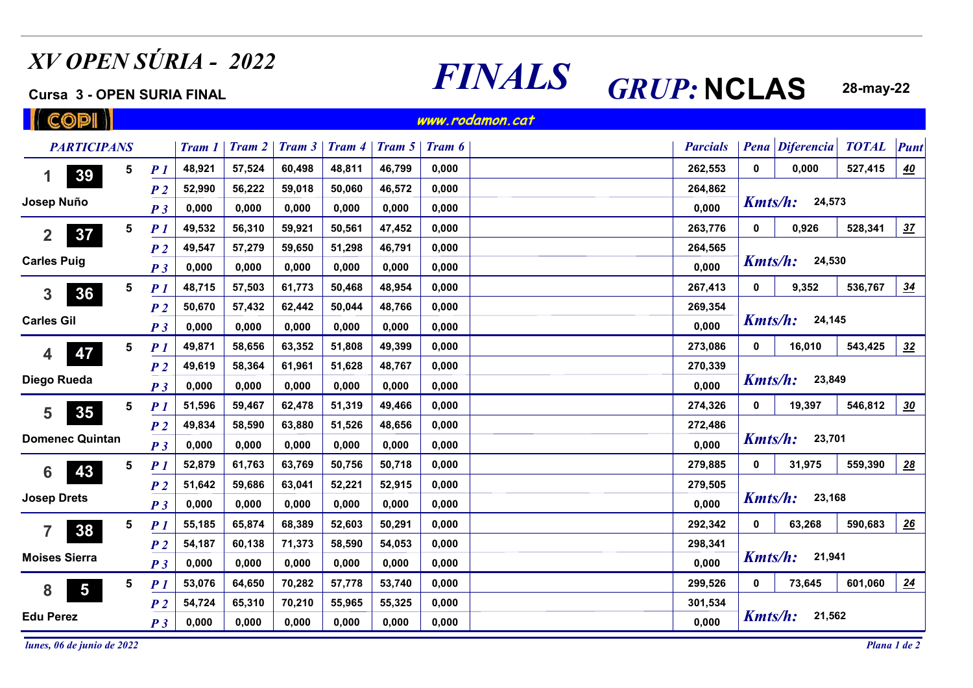## *XV OPEN SÚRIA - 2022*

## **Cursa 3 - OPEN SURIA FINAL**

## L **FINALS** *GRUP***: <b>NCLAS** 28-may-22

**CODI www.rodamon.cat***PARTICIPANS Tram 1 Tram 2 Tram 3 Tram 4 Tram 5 Tram 6 Parcials Pena Diferencia TOTAL Punt* **548,92157,52460,49848,81146,7990,000262,553 527,415** 1 30 5 <u>P\_1 48,921 57,524 60,498 48,811 46,799 0,000 262,553 0 0,000 527,415 <mark>40</mark></u> *P 1*<u>1</u> 48,921 57,524 60,498 48,811 46,799 0,000 1000 262,553 0 0,000 **3959,01850,06046,572264,862***P 2***52,99056,2220,000***Kmts/h:***24,573Josep Nuño***P 3***0,0000,0000,0000,0000,0000,0000,00049,53250,5615***P 1***56,31059,92147,4520,000263,776 528,341 <sup>0</sup>** *<sup>37</sup>* **<sup>2</sup>**<u>1</u> 49,532 56,310 59,921 50,561 47,452 0,000 contract the 263,776 0 0,926 **37***P 2***49,54757,27959,65051,29846,7910,000264,565***Kmts/h:***24,530Carles Puig0,0000,0000,0000,0000,0000,0000,000***P 3***5***P 1***48,71557,50361,77350,46848,9540,000267,413 536,767** 3 36 5 <u>P\_1 48,715 57,503 61,773 50,468 48,954 0,000 267,413 0 9,352 536,767 <u>34</u></u> <u>1</u> 48,715 57,503 61,773 50,468 48,954 0,000 **3650,67057,43262,44250,04448,7660,000269,354***P 2Kmts/h:***Carles Gil24,145***P 3***0,0000,0000,0000,0000,0000,0000,0005***P 1***49,87158,65663,35251,80849,3990,000273,086 543,425** 4 **47** 5 <u>P 1</u> 49,871 58,656 63,352 51,808 49,399 0,000 273,086 0 16,010 543,425 <u>32</u> <u>1</u> 49,871 58,656 63,352 51,808 49,399 0,000 contract the contract of the contract of the contract of the contract of the contract of the contract of the contract of the contract of the contract of the contract of the cont **4749,61958,36461,96151,62848,7670,000270,339***P 2Kmts/h:***23,849Diego Rueda0,0000,0000,0000,0000,0000,0000,000***P 3***51,59659,46762,47851,31949,4660,000274,326 546,812 <sup>0</sup>** *<sup>30</sup>* **<sup>5</sup>5***P 1*<u>1</u>, 51,596 59,467 62,478 51,319 49,466 0,000 **35***P 2***49,83458,59063,88051,52648,6560,000272,486***Kmts/h:***23,701Domenec Quintan***P 3***0,0000,0000,0000,0000,0000,0000,00061,7635***P 1***52,87963,76950,75650,7180,000279,885**6 43 <sup>5</sup> 7 52,879 61,763 63,769 50,756 50,718 0,000<br> **6 43** 7 51,642 59,686 63,041 52,221 52,915 0,000 **<sup>0</sup>** *<sup>28</sup>* **<sup>6</sup> 31,975 4363,04152,22152,915279,505***P 2***51,64259,6860,000***Kmts/h:***23,168Josep Drets0,000***P 3***0,0000,0000,0000,0000,0000,00055,18565,87468,38952,60350,2910,000292,3425***P 1* **590,683 <sup>0</sup>** *<sup>26</sup>* **<sup>7</sup>**<u>1</u> 55,185 65,874 68,389 52,603 50,291 0,000 10000 292,342 0 63,268 **38***P 2***54,187298,34160,13871,37358,59054,0530,000Moises Sierra***Kmts/h:***21,9410,0000,0000,0000,0000,0000,0000,000***P 3***53,07664,65070,28257,77853,7400,000299,5265***P 1*8 5 7 53,076 64,650 70,282 57,778 53,740 0,000<br>**601,060** 5 73,645 601,060<br>**601,060** 5 73,645 601,060 **<sup>0</sup>** *<sup>24</sup>* **<sup>8</sup>**<u>1</u> 53,076 64,650 70,282 57,778 53,740 0,000 10000 299,526 0 73,645 **5***P 2***54,72470,21055,96555,3250,000301,53465,310***Kmts/h:***Edu Perez21,562***P 3***0,0000,0000,0000,0000,0000,0000,000**

*lunes, 06 de junio de 2022*